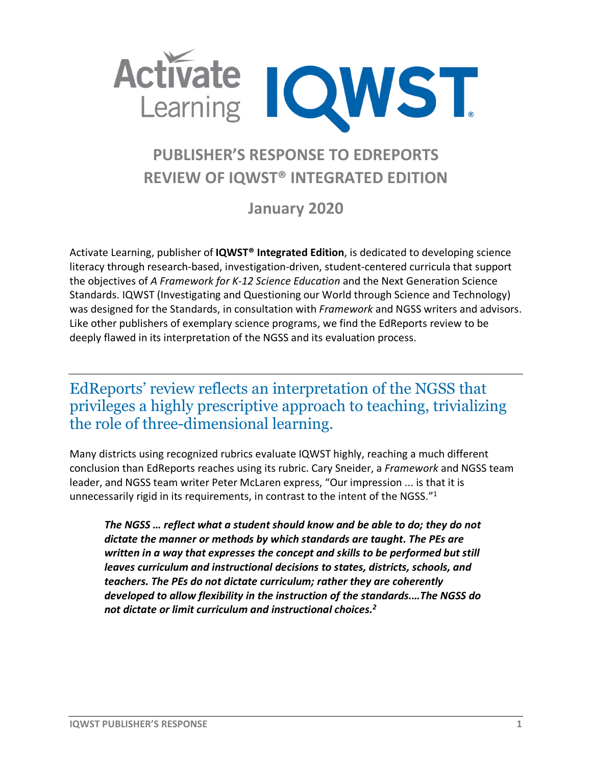

# **PUBLISHER'S RESPONSE TO EDREPORTS REVIEW OF IQWST® INTEGRATED EDITION**

**January 2020**

Activate Learning, publisher of **IQWST® Integrated Edition**, is dedicated to developing science literacy through research-based, investigation-driven, student-centered curricula that support the objectives of *A Framework for K-12 Science Education* and the Next Generation Science Standards. IQWST (Investigating and Questioning our World through Science and Technology) was designed for the Standards, in consultation with *Framework* and NGSS writers and advisors. Like other publishers of exemplary science programs, we find the EdReports review to be deeply flawed in its interpretation of the NGSS and its evaluation process.

### EdReports' review reflects an interpretation of the NGSS that privileges a highly prescriptive approach to teaching, trivializing the role of three-dimensional learning.

Many districts using recognized rubrics evaluate IQWST highly, reaching a much different conclusion than EdReports reaches using its rubric. Cary Sneider, a *Framework* and NGSS team leader, and NGSS team writer Peter McLaren express, "Our impression ... is that it is unnecessarily rigid in its requirements, in contrast to the intent of the NGSS."<sup>1</sup>

*The NGSS … reflect what a student should know and be able to do; they do not dictate the manner or methods by which standards are taught. The PEs are written in a way that expresses the concept and skills to be performed but still leaves curriculum and instructional decisions to states, districts, schools, and teachers. The PEs do not dictate curriculum; rather they are coherently developed to allow flexibility in the instruction of the standards.…The NGSS do not dictate or limit curriculum and instructional choices.2*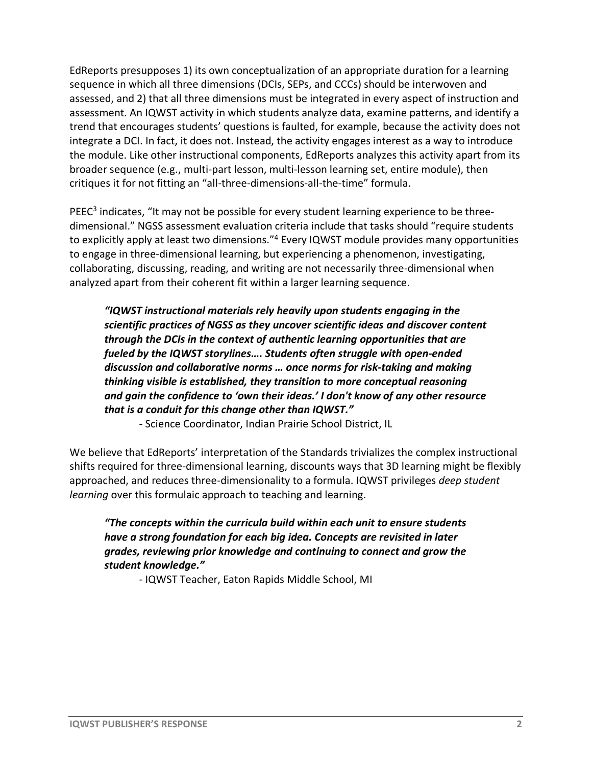EdReports presupposes 1) its own conceptualization of an appropriate duration for a learning sequence in which all three dimensions (DCIs, SEPs, and CCCs) should be interwoven and assessed, and 2) that all three dimensions must be integrated in every aspect of instruction and assessment. An IQWST activity in which students analyze data, examine patterns, and identify a trend that encourages students' questions is faulted, for example, because the activity does not integrate a DCI. In fact, it does not. Instead, the activity engages interest as a way to introduce the module. Like other instructional components, EdReports analyzes this activity apart from its broader sequence (e.g., multi-part lesson, multi-lesson learning set, entire module), then critiques it for not fitting an "all-three-dimensions-all-the-time" formula.

 $PEEC<sup>3</sup>$  indicates, "It may not be possible for every student learning experience to be threedimensional." NGSS assessment evaluation criteria include that tasks should "require students to explicitly apply at least two dimensions."4 Every IQWST module provides many opportunities to engage in three-dimensional learning, but experiencing a phenomenon, investigating, collaborating, discussing, reading, and writing are not necessarily three-dimensional when analyzed apart from their coherent fit within a larger learning sequence.

*"IQWST instructional materials rely heavily upon students engaging in the scientific practices of NGSS as they uncover scientific ideas and discover content through the DCIs in the context of authentic learning opportunities that are fueled by the IQWST storylines…. Students often struggle with open-ended discussion and collaborative norms … once norms for risk-taking and making thinking visible is established, they transition to more conceptual reasoning and gain the confidence to 'own their ideas.' I don't know of any other resource that is a conduit for this change other than IQWST."*

- Science Coordinator, Indian Prairie School District, IL

We believe that EdReports' interpretation of the Standards trivializes the complex instructional shifts required for three-dimensional learning, discounts ways that 3D learning might be flexibly approached, and reduces three-dimensionality to a formula. IQWST privileges *deep student learning* over this formulaic approach to teaching and learning.

*"The concepts within the curricula build within each unit to ensure students have a strong foundation for each big idea. Concepts are revisited in later grades, reviewing prior knowledge and continuing to connect and grow the student knowledge."*

- IQWST Teacher, Eaton Rapids Middle School, MI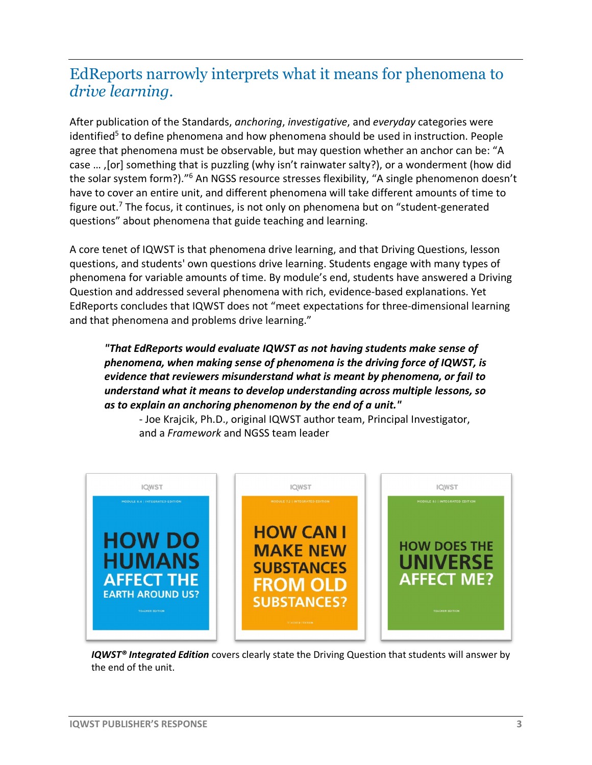### EdReports narrowly interprets what it means for phenomena to *drive learning*.

After publication of the Standards, *anchoring*, *investigative*, and *everyday* categories were identified<sup>5</sup> to define phenomena and how phenomena should be used in instruction. People agree that phenomena must be observable, but may question whether an anchor can be: "A case … ,[or] something that is puzzling (why isn't rainwater salty?), or a wonderment (how did the solar system form?)."<sup>6</sup> An NGSS resource stresses flexibility, "A single phenomenon doesn't have to cover an entire unit, and different phenomena will take different amounts of time to figure out.<sup>7</sup> The focus, it continues, is not only on phenomena but on "student-generated questions" about phenomena that guide teaching and learning.

A core tenet of IQWST is that phenomena drive learning, and that Driving Questions, lesson questions, and students' own questions drive learning. Students engage with many types of phenomena for variable amounts of time. By module's end, students have answered a Driving Question and addressed several phenomena with rich, evidence-based explanations. Yet EdReports concludes that IQWST does not "meet expectations for three-dimensional learning and that phenomena and problems drive learning."

#### *"That EdReports would evaluate IQWST as not having students make sense of phenomena, when making sense of phenomena is the driving force of IQWST, is evidence that reviewers misunderstand what is meant by phenomena, or fail to understand what it means to develop understanding across multiple lessons, so as to explain an anchoring phenomenon by the end of a unit."*



- Joe Krajcik, Ph.D., original IQWST author team, Principal Investigator, and a *Framework* and NGSS team leader

 *IQWST® Integrated Edition* covers clearly state the Driving Question that students will answer by the end of the unit.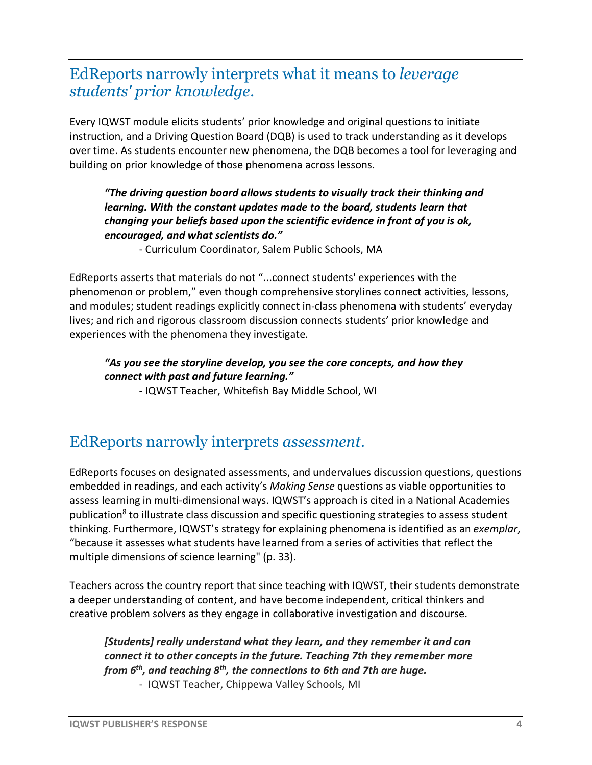### EdReports narrowly interprets what it means to *leverage students' prior knowledge*.

Every IQWST module elicits students' prior knowledge and original questions to initiate instruction, and a Driving Question Board (DQB) is used to track understanding as it develops over time. As students encounter new phenomena, the DQB becomes a tool for leveraging and building on prior knowledge of those phenomena across lessons.

#### *"The driving question board allows students to visually track their thinking and learning. With the constant updates made to the board, students learn that changing your beliefs based upon the scientific evidence in front of you is ok, encouraged, and what scientists do."*

- Curriculum Coordinator, Salem Public Schools, MA

EdReports asserts that materials do not "...connect students' experiences with the phenomenon or problem," even though comprehensive storylines connect activities, lessons, and modules; student readings explicitly connect in-class phenomena with students' everyday lives; and rich and rigorous classroom discussion connects students' prior knowledge and experiences with the phenomena they investigate.

#### *"As you see the storyline develop, you see the core concepts, and how they connect with past and future learning."*

- IQWST Teacher, Whitefish Bay Middle School, WI

### EdReports narrowly interprets *assessment*.

EdReports focuses on designated assessments, and undervalues discussion questions, questions embedded in readings, and each activity's *Making Sense* questions as viable opportunities to assess learning in multi-dimensional ways. IQWST's approach is cited in a National Academies publication<sup>8</sup> to illustrate class discussion and specific questioning strategies to assess student thinking. Furthermore, IQWST's strategy for explaining phenomena is identified as an *exemplar*, "because it assesses what students have learned from a series of activities that reflect the multiple dimensions of science learning" (p. 33).

Teachers across the country report that since teaching with IQWST, their students demonstrate a deeper understanding of content, and have become independent, critical thinkers and creative problem solvers as they engage in collaborative investigation and discourse.

### *[Students] really understand what they learn, and they remember it and can connect it to other concepts in the future. Teaching 7th they remember more from 6th, and teaching 8th, the connections to 6th and 7th are huge.*

- IQWST Teacher, Chippewa Valley Schools, MI